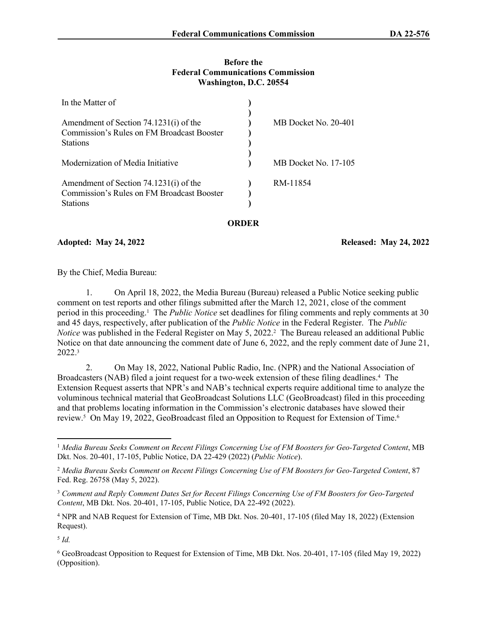## **Before the Federal Communications Commission Washington, D.C. 20554**

| In the Matter of                                                                                        |                      |
|---------------------------------------------------------------------------------------------------------|----------------------|
| Amendment of Section 74.1231(i) of the<br>Commission's Rules on FM Broadcast Booster                    | MB Docket No. 20-401 |
| <b>Stations</b>                                                                                         |                      |
| Modernization of Media Initiative                                                                       | MB Docket No. 17-105 |
| Amendment of Section 74.1231(i) of the<br>Commission's Rules on FM Broadcast Booster<br><b>Stations</b> | RM-11854             |

**ORDER**

**Adopted: May 24, 2022 Released: May 24, 2022**

By the Chief, Media Bureau:

1. On April 18, 2022, the Media Bureau (Bureau) released a Public Notice seeking public comment on test reports and other filings submitted after the March 12, 2021, close of the comment period in this proceeding.<sup>1</sup> The *Public Notice* set deadlines for filing comments and reply comments at 30 and 45 days, respectively, after publication of the *Public Notice* in the Federal Register. The *Public*  Notice was published in the Federal Register on May 5, 2022.<sup>2</sup> The Bureau released an additional Public Notice on that date announcing the comment date of June 6, 2022, and the reply comment date of June 21, 2022.<sup>3</sup>

2. On May 18, 2022, National Public Radio, Inc. (NPR) and the National Association of Broadcasters (NAB) filed a joint request for a two-week extension of these filing deadlines.<sup>4</sup> The Extension Request asserts that NPR's and NAB's technical experts require additional time to analyze the voluminous technical material that GeoBroadcast Solutions LLC (GeoBroadcast) filed in this proceeding and that problems locating information in the Commission's electronic databases have slowed their review.<sup>5</sup> On May 19, 2022, GeoBroadcast filed an Opposition to Request for Extension of Time.<sup>6</sup>

5 *Id.*

<sup>1</sup> *Media Bureau Seeks Comment on Recent Filings Concerning Use of FM Boosters for Geo-Targeted Content*, MB Dkt. Nos. 20-401, 17-105, Public Notice, DA 22-429 (2022) (*Public Notice*).

<sup>2</sup> *Media Bureau Seeks Comment on Recent Filings Concerning Use of FM Boosters for Geo-Targeted Content*, 87 Fed. Reg. 26758 (May 5, 2022).

<sup>3</sup> *Comment and Reply Comment Dates Set for Recent Filings Concerning Use of FM Boosters for Geo-Targeted Content*, MB Dkt. Nos. 20-401, 17-105, Public Notice, DA 22-492 (2022).

<sup>4</sup> NPR and NAB Request for Extension of Time, MB Dkt. Nos. 20-401, 17-105 (filed May 18, 2022) (Extension Request).

<sup>6</sup> GeoBroadcast Opposition to Request for Extension of Time, MB Dkt. Nos. 20-401, 17-105 (filed May 19, 2022) (Opposition).